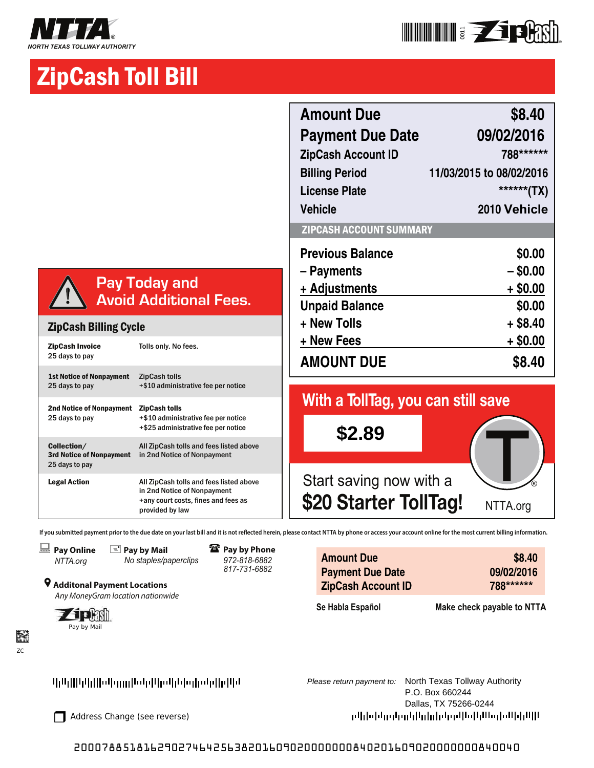



# ZipCash Toll Bill

|                                                                  |                                                                                                                                  | <b>Amount Due</b><br><b>Payment Due Date</b><br><b>ZipCash Account ID</b><br><b>Billing Period</b><br><b>License Plate</b> |
|------------------------------------------------------------------|----------------------------------------------------------------------------------------------------------------------------------|----------------------------------------------------------------------------------------------------------------------------|
|                                                                  |                                                                                                                                  | <b>Vehicle</b><br>ZIPCASH ACCOUNT SUMMARY                                                                                  |
|                                                                  | <b>Pay Today and</b><br><b>Avoid Additional Fees.</b>                                                                            | <b>Previous Balance</b><br>- Payments<br>+ Adjustments<br><b>Unpaid Balance</b>                                            |
| <b>ZipCash Billing Cycle</b>                                     |                                                                                                                                  | + New Tolls                                                                                                                |
| <b>ZipCash Invoice</b><br>25 days to pay                         | Tolls only. No fees.                                                                                                             | + New Fees<br><b>AMOUNT DUE</b>                                                                                            |
| <b>1st Notice of Nonpayment</b><br>25 days to pay                | <b>ZipCash tolls</b><br>+\$10 administrative fee per notice                                                                      | With a TollTag, you can still save                                                                                         |
| <b>2nd Notice of Nonpayment</b><br>25 days to pay                | <b>ZipCash tolls</b><br>+\$10 administrative fee per notice<br>+\$25 administrative fee per notice                               | \$2.89                                                                                                                     |
| Collection/<br><b>3rd Notice of Nonpayment</b><br>25 days to pay | All ZipCash tolls and fees listed above<br>in 2nd Notice of Nonpayment                                                           |                                                                                                                            |
| <b>Legal Action</b>                                              | All ZipCash tolls and fees listed above<br>in 2nd Notice of Nonpayment<br>+any court costs, fines and fees as<br>provided by law | Start saving now with a<br>\$20 Starter TollTag!                                                                           |

If you submitted payment prior to the due date on your last bill and it is not reflected herein, please contact NTTA by phone or access your account online for the most current billing information.





} **Additonal Payment Locations** Any MoneyGram location nationwide  **Pay by Phone**  *972-818-6882 817-731-6882*

| <b>Amount Due</b>         | \$8.40     |
|---------------------------|------------|
| <b>Payment Due Date</b>   | 09/02/2016 |
| <b>ZipCash Account ID</b> | 788******  |
|                           |            |

**Se Habla Español Make check payable to NTTA**



胫 ZC



P.O. Box 660244 Dallas, TX 75266-0244 րկի փոխը կցիների կորկեցի կազմում երկել

# 2000788518162902746425638201609020000000840201609020000000840040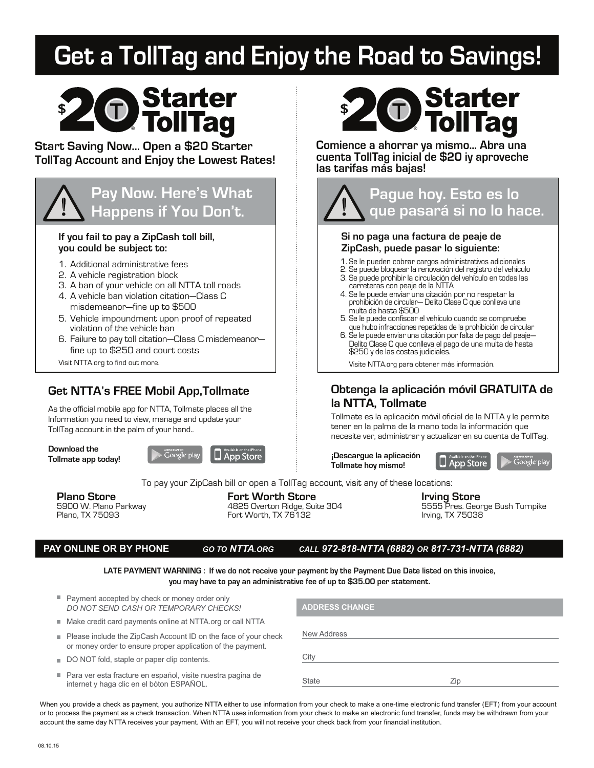# **Get a TollTag and Enjoy the Road to Savings!**



# **Start Saving Now... Open a \$20 Starter TollTag Account and Enjoy the Lowest Rates!**



### **If you fail to pay a ZipCash toll bill, you could be subject to:**

- 1. Additional administrative fees
- 2. A vehicle registration block
- 3. A ban of your vehicle on all NTTA toll roads
- 4. A vehicle ban violation citation—Class C misdemeanor—fine up to \$500
- 5. Vehicle impoundment upon proof of repeated violation of the vehicle ban
- 6. Failure to pay toll citation—Class C misdemeanor fine up to \$250 and court costs
- Visit NTTA.org to find out more.

# **Get NTTA's FREE Mobil App,Tollmate**

As the official mobile app for NTTA, Tollmate places all the Information you need to view, manage and update your TollTag account in the palm of your hand..

**Download the Tollmate app today!**





**Comience a ahorrar ya mismo... Abra una cuenta TollTag inicial de \$20 iy aproveche las tarifas más bajas!**

# **Pague hoy. Esto es lo que pasará si no lo hace. Si no paga una factura de peaje de ZipCash, puede pasar lo siguiente:** 1. Se le pueden cobrar cargos administrativos adicionales 2. Se puede bloquear la renovación del registro del vehículo

- 3. Se puede prohibir la circulación del vehículo en todas las carreteras con peaje de la NTTA
- 4. Se le puede enviar una citación por no respetar la prohibición de circular— Delito Clase C que conlleva una multa de hasta \$500
- 5. Se le puede confiscar el vehículo cuando se compruebe que hubo infracciones repetidas de la prohibición de circular
- 6. Se le puede enviar una citación por falta de pago del peaje— Delito Clase C que conlleva el pago de una multa de hasta \$250 y de las costas judiciales.

Visite NTTA.org para obtener más información.

# **Obtenga la aplicación móvil GRATUITA de la NTTA, Tollmate**

Tollmate es la aplicación móvil oficial de la NTTA y le permite tener en la palma de la mano toda la información que necesite ver, administrar y actualizar en su cuenta de TollTag.

**¡Descargue la aplicación Tollmate hoy mismo!**

**App Store** 

To pay your ZipCash bill or open a TollTag account, visit any of these locations:

**Plano Store Fort Worth Store Irving Store** Fort Worth, TX 76132

5900 W. Plano Parkway 4825 Overton Ridge, Suite 304 5555 Pres. George Bush Turnpike

| <b>GO TO NTTA ORG</b> | CA. |
|-----------------------|-----|
|-----------------------|-----|

### **PAY ONLINE OR BY PHONE** *GO TO NTTA.ORG CALL 972-818-NTTA (6882) OR 817-731-NTTA (6882)*

**LATE PAYMENT WARNING : If we do not receive your payment by the Payment Due Date listed on this invoice, you may have to pay an administrative fee of up to \$35.00 per statement.**

| Payment accepted by check or money order only<br>DO NOT SEND CASH OR TEMPORARY CHECKS!                                         | <b>ADDRESS CHANGE</b> |
|--------------------------------------------------------------------------------------------------------------------------------|-----------------------|
| Make credit card payments online at NTTA org or call NTTA                                                                      |                       |
| Please include the ZipCash Account ID on the face of your check<br>or money order to ensure proper application of the payment. | New Address           |
| DO NOT fold, staple or paper clip contents.                                                                                    | City                  |
| . Dara yar asta frastura an sanañal visita nusatra nasina da                                                                   |                       |

Para ver esta fracture en español, visite nuestra pagina de internet y haga clic en el bóton ESPAÑOL.

State Zip

When you provide a check as payment, you authorize NTTA either to use information from your check to make a one-time electronic fund transfer (EFT) from your account or to process the payment as a check transaction. When NTTA uses information from your check to make an electronic fund transfer, funds may be withdrawn from your account the same day NTTA receives your payment. With an EFT, you will not receive your check back from your financial institution.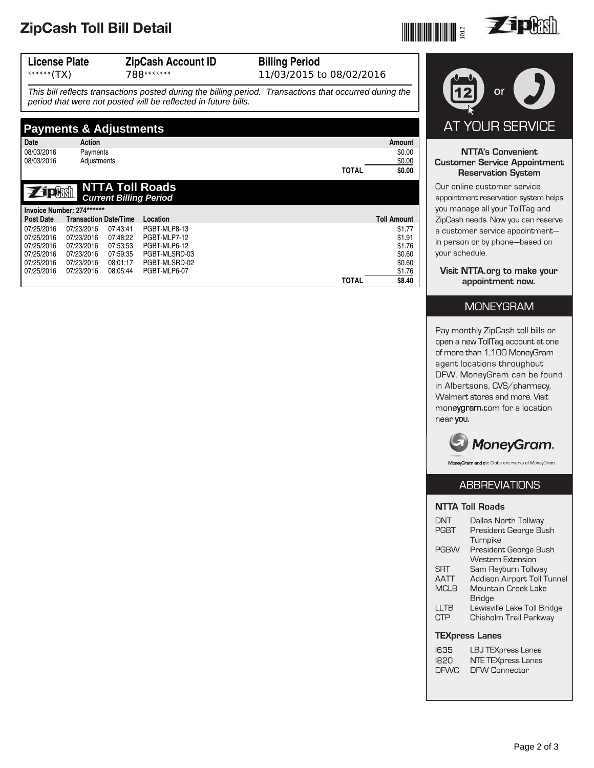# ZipCash Toll Bill Detail

07/25/2016

07/23/2016

08:05:44

PGBT-MLP6-07

| or                                                                                                                                         |
|--------------------------------------------------------------------------------------------------------------------------------------------|
|                                                                                                                                            |
| AT YOUR SERVICE                                                                                                                            |
| <b>NTTA's Convenient</b><br><b>Customer Service Appointment</b><br><b>Reservation System</b>                                               |
| Our online customer service<br>appointment reservation system helps                                                                        |
| you manage all your TollTag and<br>ZipCash needs. Now you can reserve<br>a customer service appointment-<br>in person or by phone-based on |
|                                                                                                                                            |

Visit NTTA.org to make your appointment now.

### **MONEYGRAM**

Pay monthly ZipCash toll bills or open a new TollTag account at one of more than 1,100 MoneyGram agent locations throughout DFW. MoneyGram can be found in Albertsons, CVS/pharmacy, Walmart stores and more. Visit moneygram.com for a location near you.



MoneyGram and the Globe are marks of MoneyGram.

## **ABBREVIATIONS**

### **NTTA Toll Roads**

| <b>DNT</b>            | Dallas North Tollway               |  |
|-----------------------|------------------------------------|--|
| PGRT                  | President George Bush              |  |
|                       | Turnpike                           |  |
| <b>PGBW</b>           | President George Bush              |  |
|                       | <b>Western Extension</b>           |  |
| <b>SRT</b>            | Sam Rayburn Tollway                |  |
| <b>AATT</b>           | <b>Addison Airport Toll Tunnel</b> |  |
| <b>MCLB</b>           | Mountain Creek Lake                |  |
|                       | Bridge                             |  |
| LLTB                  | Lewisville Lake Toll Bridge        |  |
| <b>CTP</b>            | Chisholm Trail Parkway             |  |
| <b>TEXpress Lanes</b> |                                    |  |
|                       |                                    |  |
| 1635                  | <b>LBJ TEXpress Lanes</b>          |  |

## T

| 1635        | LBJ TEXpress Lanes   |
|-------------|----------------------|
| 1820        | NTE TEXpress Lanes   |
| <b>DFWC</b> | <b>DFW Connector</b> |





\$0.60  $$1.76$ 

\$8.40

**TOTAL**